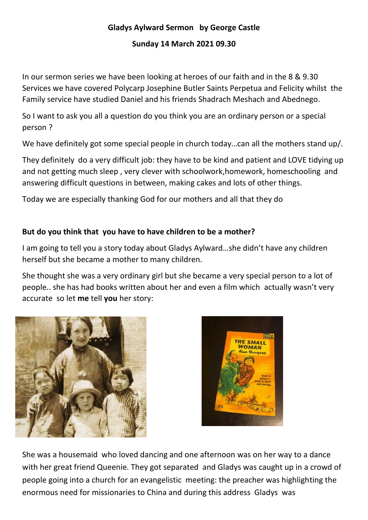# **Gladys Aylward Sermon by George Castle**

#### **Sunday 14 March 2021 09.30**

In our sermon series we have been looking at heroes of our faith and in the 8 & 9.30 Services we have covered Polycarp Josephine Butler Saints Perpetua and Felicity whilst the Family service have studied Daniel and his friends Shadrach Meshach and Abednego.

So I want to ask you all a question do you think you are an ordinary person or a special person ?

We have definitely got some special people in church today...can all the mothers stand up/.

They definitely do a very difficult job: they have to be kind and patient and LOVE tidying up and not getting much sleep , very clever with schoolwork,homework, homeschooling and answering difficult questions in between, making cakes and lots of other things.

Today we are especially thanking God for our mothers and all that they do

# **But do you think that you have to have children to be a mother?**

I am going to tell you a story today about Gladys Aylward…she didn't have any children herself but she became a mother to many children.

She thought she was a very ordinary girl but she became a very special person to a lot of people.. she has had books written about her and even a film which actually wasn't very accurate so let **me** tell **you** her story:





She was a housemaid who loved dancing and one afternoon was on her way to a dance with her great friend Queenie. They got separated and Gladys was caught up in a crowd of people going into a church for an evangelistic meeting: the preacher was highlighting the enormous need for missionaries to China and during this address Gladys was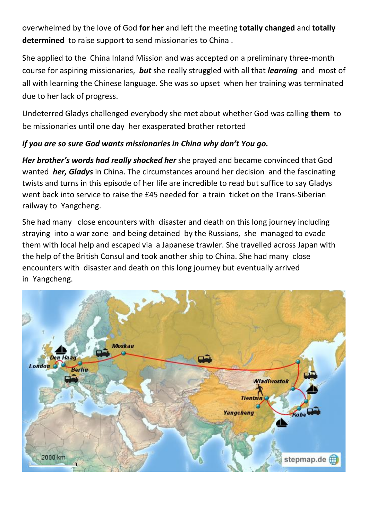overwhelmed by the love of God **for her** and left the meeting **totally changed** and **totally determined** to raise support to send missionaries to China .

She applied to the China Inland Mission and was accepted on a preliminary three-month course for aspiring missionaries, *but* she really struggled with all that *learning* and most of all with learning the Chinese language. She was so upset when her training was terminated due to her lack of progress.

Undeterred Gladys challenged everybody she met about whether God was calling **them** to be missionaries until one day her exasperated brother retorted

# *if you are so sure God wants missionaries in China why don't You go.*

*Her brother's words had really shocked her* she prayed and became convinced that God wanted *her, Gladys* in China. The circumstances around her decision and the fascinating twists and turns in this episode of her life are incredible to read but suffice to say Gladys went back into service to raise the £45 needed for a train ticket on the Trans-Siberian railway to Yangcheng.

She had many close encounters with disaster and death on this long journey including straying into a war zone and being detained by the Russians, she managed to evade them with local help and escaped via a Japanese trawler. She travelled across Japan with the help of the British Consul and took another ship to [China.](https://en.wikipedia.org/wiki/China) She had many close encounters with disaster and death on this long journey but eventually arrived in [Yangcheng.](https://en.wikipedia.org/wiki/Yangcheng_County)

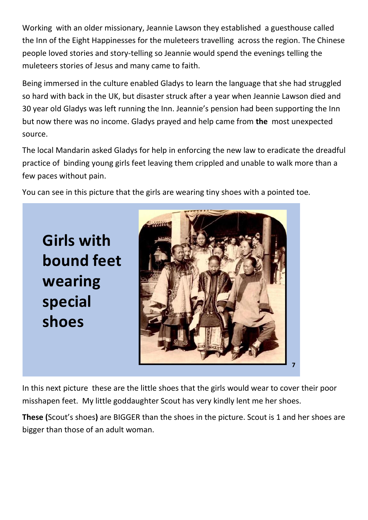Working with an older missionary, Jeannie Lawson they established a guesthouse called the Inn of the Eight Happinesses for the muleteers travelling across the region. The Chinese people loved stories and story-telling so Jeannie would spend the evenings telling the muleteers stories of Jesus and many came to faith.

Being immersed in the culture enabled Gladys to learn the language that she had struggled so hard with back in the UK, but disaster struck after a year when Jeannie Lawson died and 30 year old Gladys was left running the Inn. Jeannie's pension had been supporting the Inn but now there was no income. Gladys prayed and help came from **the** most unexpected source.

The local Mandarin asked Gladys for help in enforcing the new law to eradicate the dreadful practice of binding young girls feet leaving them crippled and unable to walk more than a few paces without pain.

You can see in this picture that the girls are wearing tiny shoes with a pointed toe.

**Girls with bound feet wearing** special shoes



In this next picture these are the little shoes that the girls would wear to cover their poor misshapen feet. My little goddaughter Scout has very kindly lent me her shoes.

**These (**Scout's shoes**)** are BIGGER than the shoes in the picture. Scout is 1 and her shoes are bigger than those of an adult woman.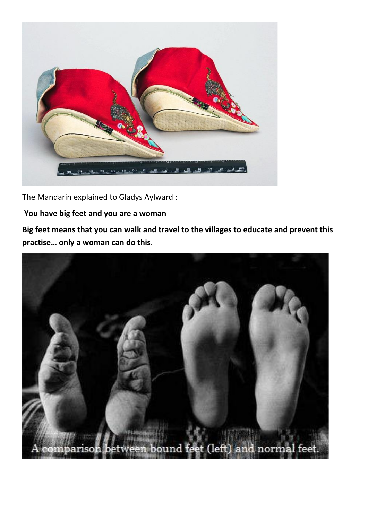

The Mandarin explained to Gladys Aylward :

## **You have big feet and you are a woman**

**Big feet means that you can walk and travel to the villages to educate and prevent this**  practise... only a woman can do this.

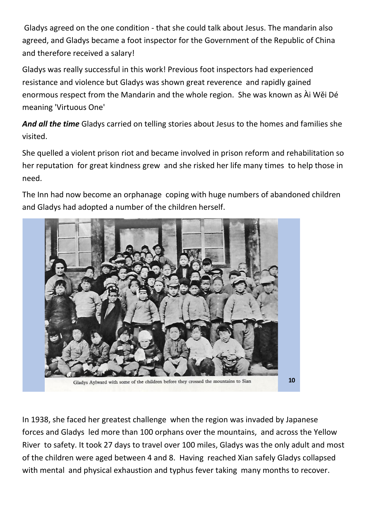Gladys agreed on the one condition - that she could talk about Jesus. The mandarin also agreed, and Gladys became a foot inspector for the Government of the Republic of China and therefore received a salary!

Gladys was really successful in this work! Previous foot inspectors had experienced resistance and violence but Gladys was shown great reverence and rapidly gained enormous respect from the Mandarin and the whole region. She was known as Ài Wěi Dé meaning 'Virtuous One'

*And all the time* Gladys carried on telling stories about Jesus to the homes and families she visited.

She quelled a violent prison riot and became involved in prison reform and rehabilitation so her reputation for great kindness grew and she risked her life many times to help those in need.

The Inn had now become an orphanage coping with huge numbers of abandoned children and Gladys had adopted a number of the children herself.



In 1938, she faced her greatest challenge when the region [was invaded by Japanese](https://en.wikipedia.org/wiki/Second_Sino-Japanese_War)  [forces](https://en.wikipedia.org/wiki/Second_Sino-Japanese_War) and Gladys led more than 100 orphans over the mountains, and across the Yellow River to safety. It took 27 days to travel over 100 miles, Gladys was the only adult and most of the children were aged between 4 and 8. Having reached Xian safely Gladys collapsed with mental and physical exhaustion and typhus fever taking many months to recover.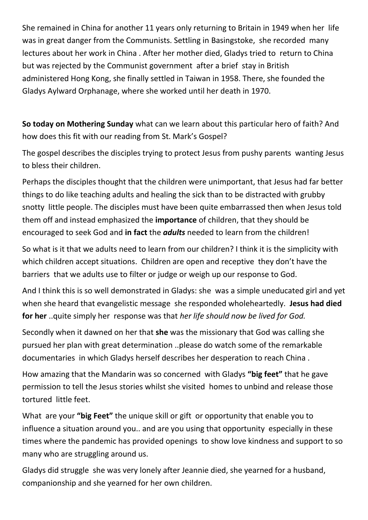She remained in China for another 11 years only returning to Britain in 1949 when her life was in great danger from the Communists. Settling in [Basingstoke,](https://en.wikipedia.org/wiki/Basingstoke) she recorded many lectures about her work in China . After her mother died, Gladys tried to return to China but was rejected by the [Communist government](https://en.wikipedia.org/wiki/Government_of_the_People%27s_Republic_of_China) after a brief stay in British administered [Hong Kong,](https://en.wikipedia.org/wiki/Hong_Kong) she finally settled in [Taiwan](https://en.wikipedia.org/wiki/Taiwan) in 1958. There, she founded the Gladys Aylward Orphanage, where she worked until her death in 1970.

**So today on Mothering Sunday** what can we learn about this particular hero of faith? And how does this fit with our reading from St. Mark's Gospel?

The gospel describes the disciples trying to protect Jesus from pushy parents wanting Jesus to bless their children.

Perhaps the disciples thought that the children were unimportant, that Jesus had far better things to do like teaching adults and healing the sick than to be distracted with grubby snotty little people. The disciples must have been quite embarrassed then when Jesus told them off and instead emphasized the **importance** of children, that they should be encouraged to seek God and **in fact** the *adults* needed to learn from the children!

So what is it that we adults need to learn from our children? I think it is the simplicity with which children accept situations. Children are open and receptive they don't have the barriers that we adults use to filter or judge or weigh up our response to God.

And I think this is so well demonstrated in Gladys: she was a simple uneducated girl and yet when she heard that evangelistic message she responded wholeheartedly. **Jesus had died for her** ..quite simply her response was that *her life should now be lived for God.*

Secondly when it dawned on her that **she** was the missionary that God was calling she pursued her plan with great determination ..please do watch some of the remarkable documentaries in which Gladys herself describes her desperation to reach China .

How amazing that the Mandarin was so concerned with Gladys "big feet" that he gave permission to tell the Jesus stories whilst she visited homes to unbind and release those tortured little feet.

What are your "big Feet" the unique skill or gift or opportunity that enable you to influence a situation around you.. and are you using that opportunity especially in these times where the pandemic has provided openings to show love kindness and support to so many who are struggling around us.

Gladys did struggle she was very lonely after Jeannie died, she yearned for a husband, companionship and she yearned for her own children.